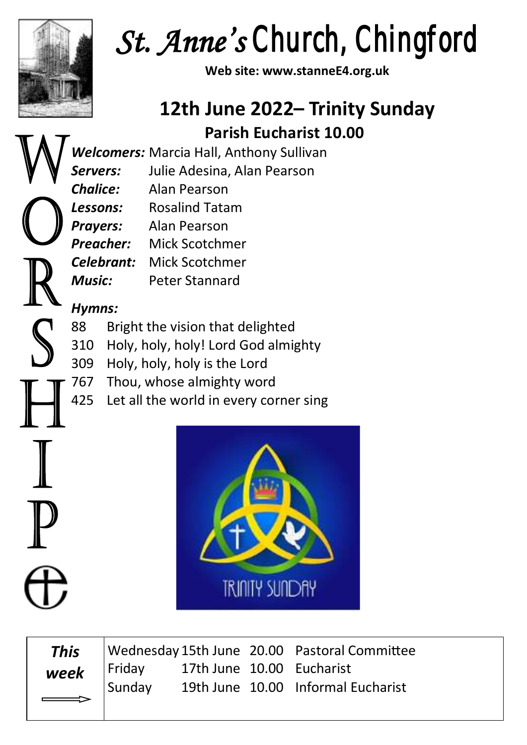

*St. Anne's Church, Chingford* 

**Web site: www.stanneE4.org.uk**

# **12th June 2022– Trinity Sunday Parish Eucharist 10.00**

*Welcomers:* Marcia Hall, Anthony Sullivan

*Servers:* Julie Adesina, Alan Pearson

*Chalice:* Alan Pearson

*Lessons:* Rosalind Tatam

*Prayers:* Alan Pearson

*Preacher:* Mick Scotchmer

*Celebrant:* Mick Scotchmer

*Music:* Peter Stannard

#### *Hymns:*

88 Bright the vision that delighted

310 Holy, holy, holy! Lord God almighty

- 309 Holy, holy, holy is the Lord
- 767 Thou, whose almighty word
- 425 Let all the world in every corner sing



*This week*

Wednesday 15th June 20.00 Pastoral Committee Friday 17th June 10.00 Eucharist Sunday 19th June 10.00 Informal Eucharist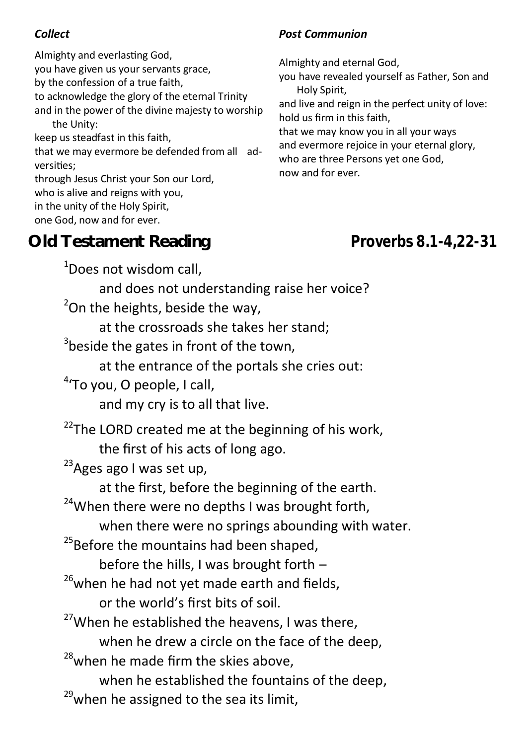Almighty and everlasting God, you have given us your servants grace, by the confession of a true faith, to acknowledge the glory of the eternal Trinity and in the power of the divine majesty to worship the Unity: keep us steadfast in this faith, that we may evermore be defended from all adversities; through Jesus Christ your Son our Lord, who is alive and reigns with you, in the unity of the Holy Spirit, one God, now and for ever.

#### **Old Testament Reading** *Proverbs 8.1-4,22-31*

#### *Collect Post Communion*

Almighty and eternal God,

you have revealed yourself as Father, Son and Holy Spirit,

and live and reign in the perfect unity of love: hold us firm in this faith,

that we may know you in all your ways and evermore rejoice in your eternal glory, who are three Persons yet one God, now and for ever.

<sup>1</sup>Does not wisdom call. and does not understanding raise her voice?  $2$ On the heights, beside the way, at the crossroads she takes her stand;  $3$ beside the gates in front of the town, at the entrance of the portals she cries out: <sup>4</sup>'To you, O people, I call, and my cry is to all that live.  $22$ The LORD created me at the beginning of his work, the first of his acts of long ago.  $23$ Ages ago I was set up, at the first, before the beginning of the earth.  $24$ When there were no depths I was brought forth, when there were no springs abounding with water.  $25B$ Before the mountains had been shaped, before the hills, I was brought forth –  $26$ when he had not yet made earth and fields, or the world's first bits of soil.  $27$ When he established the heavens, I was there, when he drew a circle on the face of the deep,  $28$ when he made firm the skies above, when he established the fountains of the deep,  $^{29}$ when he assigned to the sea its limit,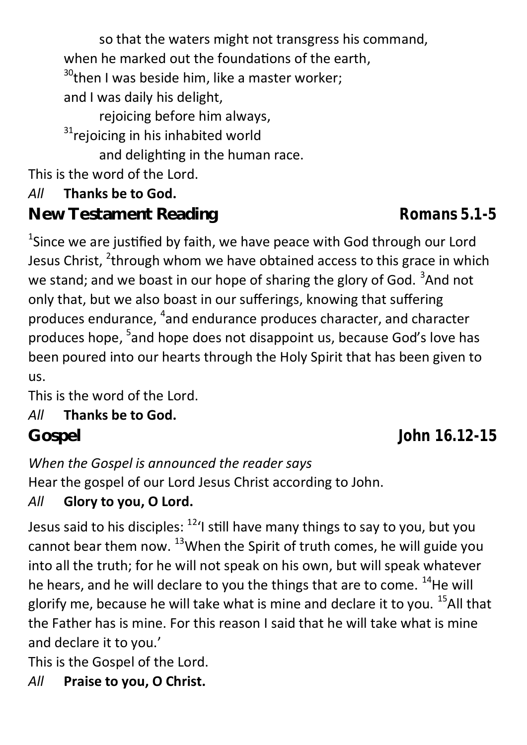so that the waters might not transgress his command, when he marked out the foundations of the earth,  $30$ <sup>30</sup>then I was beside him, like a master worker; and I was daily his delight, rejoicing before him always, <sup>31</sup>rejoicing in his inhabited world and delighting in the human race. This is the word of the Lord. *All* **Thanks be to God. New Testament Reading** *Romans 5.1-5*  $^1$ Since we are justified by faith, we have peace with God through our Lord

Jesus Christ, <sup>2</sup>through whom we have obtained access to this grace in which we stand; and we boast in our hope of sharing the glory of God. <sup>3</sup>And not only that, but we also boast in our sufferings, knowing that suffering produces endurance, <sup>4</sup>and endurance produces character, and character produces hope, <sup>5</sup>and hope does not disappoint us, because God's love has been poured into our hearts through the Holy Spirit that has been given to us.

This is the word of the Lord.

#### *All* **Thanks be to God.**

## *When the Gospel is announced the reader says*

Hear the gospel of our Lord Jesus Christ according to John.

## *All* **Glory to you, O Lord.**

Jesus said to his disciples:  $^{12}$ 'I still have many things to say to you, but you cannot bear them now.  $^{13}$ When the Spirit of truth comes, he will guide you into all the truth; for he will not speak on his own, but will speak whatever he hears, and he will declare to you the things that are to come.  $^{14}$ He will glorify me, because he will take what is mine and declare it to you.  $^{15}$ All that the Father has is mine. For this reason I said that he will take what is mine and declare it to you.'

This is the Gospel of the Lord.

## *All* **Praise to you, O Christ.**

**Gospel** *John 16.12-15*